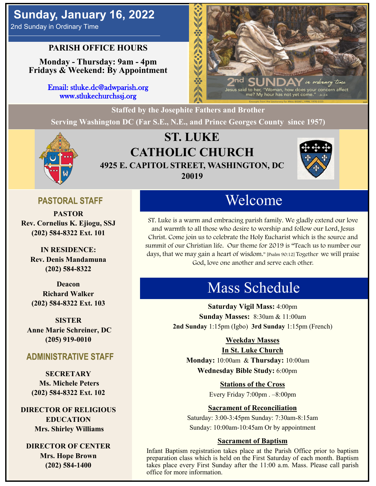# **Sunday, January 16, 2022**

2nd Sunday in Ordinary Time

### **PARISH OFFICE HOURS**

**Monday - Thursday: 9am - 4pm Fridays & Weekend: By Appointment**

> Email: stluke.dc@adwparish.org www.stlukechurchssj.org



**Staffed by the Josephite Fathers and Brother**

**Serving Washington DC (Far S.E., N.E., and Prince Georges County since 1957)**



# **ST. LUKE CATHOLIC CHURCH 4925 E. CAPITOL STREET, WASHINGTON, DC 20019**



### **PASTORAL STAFF**

**PASTOR Rev. Cornelius K. Ejiogu, SSJ (202) 584-8322 Ext. 101**

**IN RESIDENCE: Rev. Denis Mandamuna (202) 584-8322** 

**Deacon Richard Walker (202) 584-8322 Ext. 103**

**SISTER Anne Marie Schreiner, DC (205) 919-0010**

### **ADMINISTRATIVE STAFF**

**SECRETARY Ms. Michele Peters (202) 584-8322 Ext. 102**

**DIRECTOR OF RELIGIOUS EDUCATION Mrs. Shirley Williams**

**DIRECTOR OF CENTER Mrs. Hope Brown (202) 584-1400**

# Welcome

ST. Luke is a warm and embracing parish family. We gladly extend our love and warmth to all those who desire to worship and follow our Lord, Jesus Christ. Come join us to celebrate the Holy Eucharist which is the source and summit of our Christian life. Our theme for 2019 is "Teach us to number our days, that we may gain a heart of wisdom." [Psalm 90:12] Together we will praise God, love one another and serve each other.

# Mass Schedule

**Saturday Vigil Mass:** 4:00pm **Sunday Masses:** 8:30am & 11:00am **2nd Sunday** 1:15pm (Igbo) **3rd Sunday** 1:15pm (French)

#### **Weekday Masses**

#### **In St. Luke Church**

**Monday:** 10:00am & **Thursday:** 10:00am **Wednesday Bible Study:** 6:00pm

**Stations of the Cross**

Every Friday 7:00pm . –8:00pm

#### **Sacrament of Reconciliation**

Saturday: 3:00-3:45pm Sunday: 7:30am-8:15am Sunday: 10:00am-10:45am Or by appointment

#### **Sacrament of Baptism**

Infant Baptism registration takes place at the Parish Office prior to baptism preparation class which is held on the First Saturday of each month. Baptism takes place every First Sunday after the 11:00 a.m. Mass. Please call parish office for more information.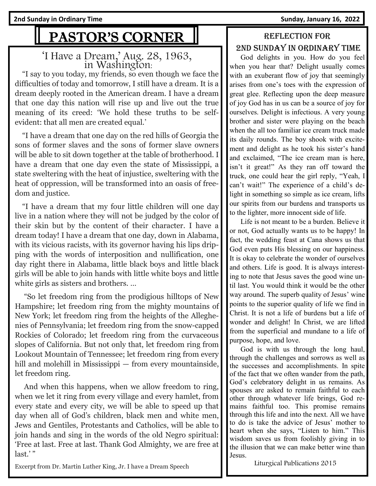# PASTOR'S CORNER

### 'I Have a Dream,' Aug. 28, 1963, in Washington:

 "I say to you today, my friends, so even though we face the difficulties of today and tomorrow, I still have a dream. It is a dream deeply rooted in the American dream. I have a dream that one day this nation will rise up and live out the true meaning of its creed: 'We hold these truths to be selfevident: that all men are created equal.'

 "I have a dream that one day on the red hills of Georgia the sons of former slaves and the sons of former slave owners will be able to sit down together at the table of brotherhood. I have a dream that one day even the state of Mississippi, a state sweltering with the heat of injustice, sweltering with the heat of oppression, will be transformed into an oasis of freedom and justice.

 "I have a dream that my four little children will one day live in a nation where they will not be judged by the color of their skin but by the content of their character. I have a dream today! I have a dream that one day, down in Alabama, with its vicious racists, with its governor having his lips dripping with the words of interposition and nullification, one day right there in Alabama, little black boys and little black girls will be able to join hands with little white boys and little white girls as sisters and brothers. ...

 "So let freedom ring from the prodigious hilltops of New Hampshire; let freedom ring from the mighty mountains of New York; let freedom ring from the heights of the Alleghenies of Pennsylvania; let freedom ring from the snow-capped Rockies of Colorado; let freedom ring from the curvaceous slopes of California. But not only that, let freedom ring from Lookout Mountain of Tennessee; let freedom ring from every hill and molehill in Mississippi — from every mountainside, let freedom ring.

 And when this happens, when we allow freedom to ring, when we let it ring from every village and every hamlet, from every state and every city, we will be able to speed up that day when all of God's children, black men and white men, Jews and Gentiles, Protestants and Catholics, will be able to join hands and sing in the words of the old Negro spiritual: 'Free at last. Free at last. Thank God Almighty, we are free at last.'"

#### Excerpt from Dr. Martin Luther King, Jr. I have a Dream Speech

## Reflection for 2nd Sunday in Ordinary time

 God delights in you. How do you feel when you hear that? Delight usually comes with an exuberant flow of joy that seemingly arises from one's toes with the expression of great glee. Reflecting upon the deep measure of joy God has in us can be a source of joy for ourselves. Delight is infectious. A very young brother and sister were playing on the beach when the all too familiar ice cream truck made its daily rounds. The boy shook with excitement and delight as he took his sister's hand and exclaimed, "The ice cream man is here, isn't it great!" As they ran off toward the truck, one could hear the girl reply, "Yeah, I can't wait!" The experience of a child's delight in something so simple as ice cream, lifts our spirits from our burdens and transports us to the lighter, more innocent side of life.

 Life is not meant to be a burden. Believe it or not, God actually wants us to be happy! In fact, the wedding feast at Cana shows us that God even puts His blessing on our happiness. It is okay to celebrate the wonder of ourselves and others. Life is good. It is always interesting to note that Jesus saves the good wine until last. You would think it would be the other way around. The superb quality of Jesus' wine points to the superior quality of life we find in Christ. It is not a life of burdens but a life of wonder and delight! In Christ, we are lifted from the superficial and mundane to a life of purpose, hope, and love.

 God is with us through the long haul, through the challenges and sorrows as well as the successes and accomplishments. In spite of the fact that we often wander from the path, God's celebratory delight in us remains. As spouses are asked to remain faithful to each other through whatever life brings, God remains faithful too. This promise remains through this life and into the next. All we have to do is take the advice of Jesus' mother to heart when she says, "Listen to him." This wisdom saves us from foolishly giving in to the illusion that we can make better wine than Jesus.

Liturgical Publications 2015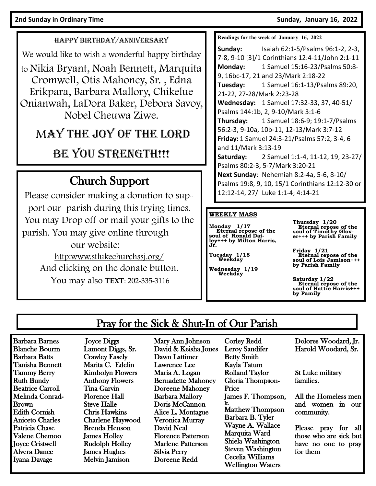#### HAPPY BIRTHDAY/ANNIVERSARY

We would like to wish a wonderful happy birthday

to Nikia Bryant, Noah Bennett, Marquita Cromwell, Otis Mahoney, Sr. , Edna Erikpara, Barbara Mallory, Chikelue Onianwah, LaDora Baker, Debora Savoy, Nobel Cheuwa Ziwe.

# MAY THE JOY OF THE LORD

# BE YOU STRENGTH!!!

# Church Support

Please consider making a donation to support our parish during this trying times. You may Drop off or mail your gifts to the parish. You may give online through our website: [http:www.stlukechurchssj.org/](http://www.stlukechurchssj.org/) And clicking on the donate button.

You may also **TEXT**: 202-335-3116

**Readings for the week of January 16, 2022**

**Sunday:** Isaiah 62:1-5/Psalms 96:1-2, 2-3, 7-8, 9-10 [3]/1 Corinthians 12:4-11/John 2:1-11 **Monday:** 1 Samuel 15:16-23/Psalms 50:8- 9, 16bc-17, 21 and 23/Mark 2:18-22 **Tuesday:** 1 Samuel 16:1-13/Psalms 89:20, 21-22, 27-28/Mark 2:23-28 **Wednesday:** 1 Samuel 17:32-33, 37, 40-51/ Psalms 144:1b, 2, 9-10/Mark 3:1-6 **Thursday:** 1 Samuel 18:6-9; 19:1-7/Psalms 56:2-3, 9-10a, 10b-11, 12-13/Mark 3:7-12 **Friday:** 1 Samuel 24:3-21/Psalms 57:2, 3-4, 6 and 11/Mark 3:13-19 **Saturday:** 2 Samuel 1:1-4, 11-12, 19, 23-27/ Psalms 80:2-3, 5-7/Mark 3:20-21 **Next Sunday**: Nehemiah 8:2-4a, 5-6, 8-10/ Psalms 19:8, 9, 10, 15/1 Corinthians 12:12-30 or 12:12-14, 27/ Luke 1:1-4; 4:14-21

#### **WEEKLY MASS**

**Monday 1/17 Eternal repose of the soul of Ronald Dailey+++ by Milton Harris, Jr.** 

**Tuesday 1/18 Weekday**

**Wednesday 1/19 Weekday**

**Thursday 1/20 Eternal repose of the soul of Timothy Glov-er+++ by Parish Family** 

**Friday 1/21 Eternal repose of the soul of Lois Jamison+++ by Parish Family** 

**Saturday 1/22 Eternal repose of the soul of Hattie Harris+++ by Family**

## Pray for the Sick & Shut-In of Our Parish

Barbara Barnes Blanche Bourm Barbara Batts Tanisha Bennett Tammy Berry Ruth Bundy Beatrice Carroll Melinda Conrad-Brown Edith Cornish Aniceto Charles Patricia Chase Valene Chemoo Joyce Cristwell Alvera Dance Iyana Davage

 Joyce Diggs Lamont Diggs, Sr. Crawley Easely Marita C. Edelin Kimbolyn Flowers Anthony Flowers Tina Garvin Florence Hall Steve Halle Chris Hawkins Charlene Haywood Brenda Henson James Holley Rudolph Holley James Hughes Melvin Jamison

Mary Ann Johnson David & Keisha Jones Dawn Lattimer Lawrence Lee Maria A. Logan Bernadette Mahoney Doreene Mahoney Barbara Mallory Doris McCannon Alice L. Montague Veronica Murray David Neal Florence Patterson Marlene Patterson Silvia Perry Doreene Redd

Corley Redd Leroy Sandifer Betty Smith Kayla Tatum Rolland Taylor Gloria Thompson-Price James F. Thompson, Jr. Matthew Thompson Barbara B. Tyler Wayne A. Wallace Marquita Ward Shiela Washington Steven Washington Cecelia Williams Wellington Waters

Dolores Woodard, Jr. Harold Woodard, Sr.

St Luke military families.

All the Homeless men and women in our community.

Please pray for all those who are sick but have no one to pray for them